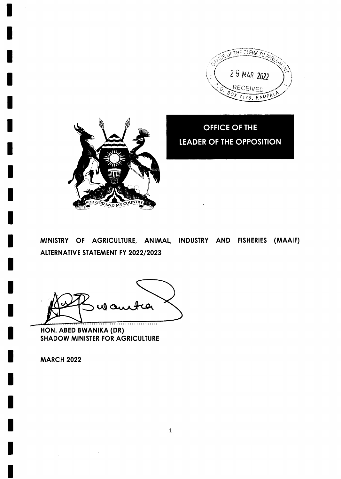



**OFFICE OF THE LEADER OF THE OPPOSITION** 

MINISTRY OF AGRICULTURE, ANIMAL, INDUSTRY AND FISHERIES (MAAIF) ALTERNATIVE STATEMENT FY 2022/2023

ul au . . . . . . . . . . . . .

HON. ABED BWANIKA (DR) **SHADOW MINISTER FOR AGRICULTURE** 

**MARCH 2022**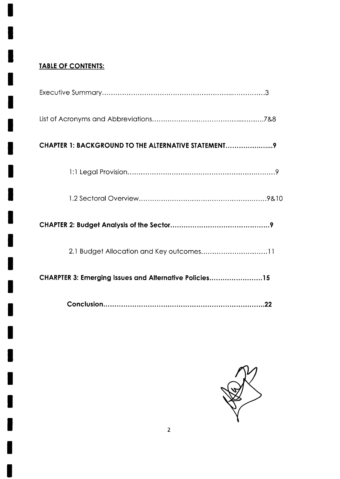# **TABLE OF CONTENTS:**

| CHAPTER 1: BACKGROUND TO THE ALTERNATIVE STATEMENT     |
|--------------------------------------------------------|
|                                                        |
|                                                        |
|                                                        |
|                                                        |
| CHARPTER 3: Emerging Issues and Alternative Policies15 |
|                                                        |

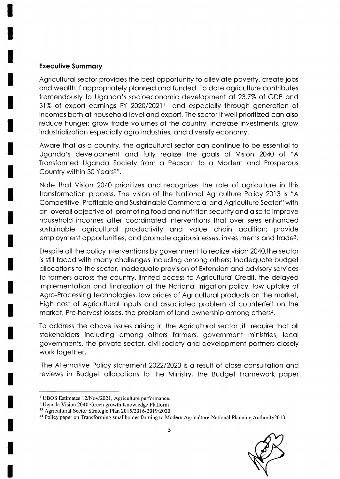### **Executive Summary**

Agricultural sector provides the best opportunity to alleviate poverty, create jobs and wealth if appropriately planned and funded. To date agriculture contributes tremendously to Uganda's socioeconomic development at 23.7% of GDP and 31% of export earnings FY 2020/20211 and especially through generation of incomes both at household level and export. The sector if well prioritized can also reduce hunger; grow trade volumes of the country, increase investments, grow industrialization especially agro industries, and diversify economy.

Aware that as a country, the agricultural sector can continue to be essential to Uganda's development and fully realize the goals of Vision 2040 of "A Transformed Uganda Society from a Peasant to a Modern and Prosperous Country within 30 Years<sup>2"</sup>.

Note that Vision 2040 prioritizes and recognizes the role of agriculture in this transformation process. The vision of the National Agriculture Policy 2013 is "A Competitive, Profitable and Sustainable Commercial and Agriculture Sector" with an overall objective of promoting food and nutrition security and also to improve household incomes after coordinated interventions that over sees enhanced sustainable agricultural productivity and value chain addition; provide employment opportunities, and promote agribusinesses, investments and trade<sup>3</sup>.

Despite all the policy interventions by government to realize vision 2040, the sector is still faced with many challenges including among others; Inadequate budget allocations to the sector, Inadequate provision of Extension and advisory services to farmers across the country, limited access to Agricultural Credit, the delayed implementation and finalization of the National Irrigation policy, low uptake of Agro-Processing technologies, low prices of Agricultural products on the market, High cost of Agricultural inputs and associated problem of counterfeit on the market, Pre-harvest losses, the problem of land ownership among others<sup>4</sup>.

To address the above issues arising in the Agricultural sector, it require that all stakeholders including among others farmers, government ministries, local governments, the private sector, civil society and development partners closely work together.

The Alternative Policy statement 2022/2023 is a result of close consultation and reviews in Budget allocations to the Ministry, the Budget Framework paper

<sup>&</sup>lt;sup>1</sup> UBOS Estimates 12/Nov/2021, Agriculture performance.

<sup>&</sup>lt;sup>2</sup> Uganda Vision 2040-Green growth Knowledge Platform

<sup>&</sup>lt;sup>33</sup> Agricultural Sector Strategic Plan 2015/2016-2019/2020

<sup>&</sup>lt;sup>44</sup> Policy paper on Transforming smallholder farming to Modern Agriculture-National Planning Authority2013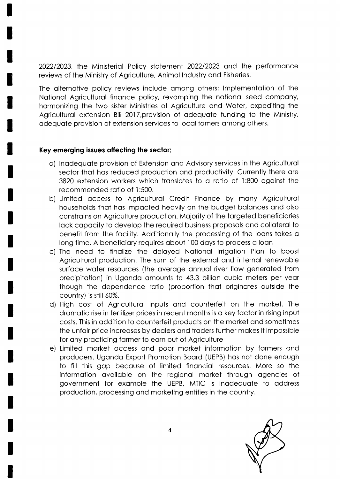2022/2023, the Ministerial Policy statement 2022/2023 and the performance reviews of the Ministry of Agriculture, Animal Industry and Fisheries.

The alternative policy reviews include among others; Implementation of the National Agricultural finance policy, revamping the national seed company, harmonizing the two sister Ministries of Agriculture and Water, expediting the Agricultural extension Bill 2017, provision of adequate funding to the Ministry, adequate provision of extension services to local famers among others.

# Key emerging issues affecting the sector;

- a) Inadequate provision of Extension and Advisory services in the Agricultural sector that has reduced production and productivity. Currently there are 3820 extension workers which translates to a ratio of 1:800 against the recommended ratio of 1:500.
- b) Limited access to Agricultural Credit Finance by many Agricultural households that has impacted heavily on the budget balances and also constrains on Agriculture production. Majority of the targeted beneficiaries lack capacity to develop the required business proposals and collateral to benefit from the facility. Additionally the processing of the loans takes a long time. A beneficiary requires about 100 days to process a loan
- c) The need to finalize the delayed National Irrigation Plan to boost Agricultural production. The sum of the external and internal renewable surface water resources (the average annual river flow generated from precipitation) in Uganda amounts to 43.3 billion cubic meters per year though the dependence ratio (proportion that originates outside the country) is still 60%.
- d) High cost of Agricultural inputs and counterfeit on the market. The dramatic rise in fertilizer prices in recent months is a key factor in rising input costs. This in addition to counterfeit products on the market and sometimes the unfair price increases by dealers and traders further makes it impossible for any practicing farmer to earn out of Agriculture
- e) Limited market access and poor market information by farmers and producers. Uganda Export Promotion Board (UEPB) has not done enough to fill this gap because of limited financial resources. More so the information available on the regional market through agencies of government for example the UEPB, MTIC is inadequate to address production, processing and marketing entities in the country.

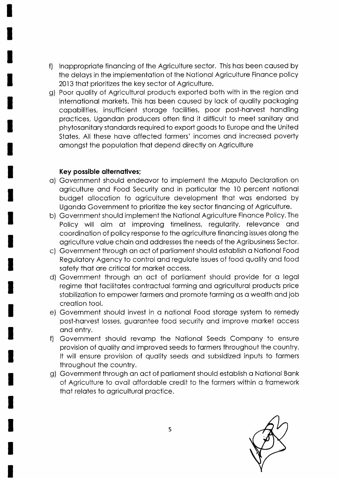- f) lnoppropriote finoncing of the Agriculture sector. This hos been coused by the delays in the implementation of the National Agriculture Finance policy 2013 that prioritizes the key sector of Agriculture.
- g) Poor quality of Agricultural products exported both with in the region and internotionol morkets. This hos been coused by lock of quolity pockoging copobilities, insufficient storoge focilities, poor post-horvest hondling proctices, Ugondon producers often find it difficult to meet sonitory ond phytosanitary standards required to export goods to Europe and the United States. All these have affected farmers' incomes and increased poverty omongst the populotion thot depend directly on Agriculture

#### Key possible alternatives;

- o) Government should endeovor to implement the Moputo Declorotion on ogriculture ond Food Security ond in porticulor the l0 percent notionol budget ollocotion to ogriculture development thot wos endorsed by Ugondo Government to prioritize the key sector finoncing of Agriculture.
- b) Government should implement the Notionol Agriculture Finonce Policy. The Policy will aim at improving timeliness, regularity, relevance and coordinotion of policy response to the ogriculture finoncing issues olong the ogriculture volue choin ond oddresses the needs of the Agribusiness Sector.
- c) Government through on oct of porlioment should estoblish o Notionol Food Regulotory Agency to control ond regulote issues of food quolity ond food safety that are critical for market access.
- d) Government through an act of parliament should provide for a legal regime thot focilitotes controctuol forming ond ogriculturol products price stobilizotion to empower formers ond promote forming os o weolth ond job creotion tool.
- e) Government should invest in a national Food storage system to remedy post-harvest losses, guarantee food security and improve market access ond entry.
- f) Government should revomp the Notionol Seeds Compony to ensure provision of quolity ond improved seeds to formers throughout the country. It will ensure provision of quality seeds and subsidized inputs to farmers throughout the country.
- g) Government through on oct of porlioment should estoblish o Notionol Bonk of Agriculture to ovoil offordqble credit to the formers within o fromework thot relotes to ogriculturol proctice.

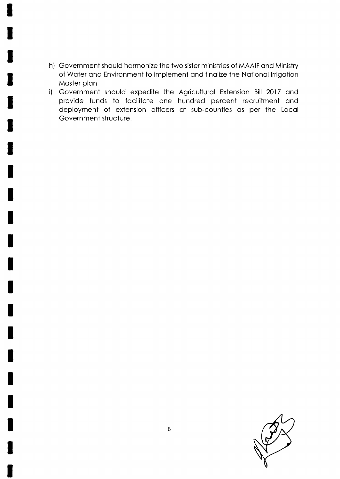- h) Government should hormonize the two sister ministries of MAAIF ond Ministry of Woter ond Environment to implement ond finolize the Notionol lrrigotion Master plan
- i) Government should expedite the Agricultural Extension Bill 2017 and provide funds to focilitote one hundred percent recruitment ond deployment of extension officers of sub-counties os per the Locol Government structure.

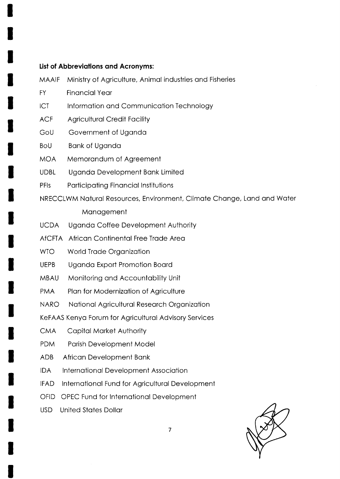### List of Abbreviations and Acronyms:

- Ministry of Agriculture, Animal industries and Fisheries **MAAIF**
- **FY Financial Year**
- **ICT** Information and Communication Technology
- **ACF Agricultural Credit Facility**
- GoU Government of Uganda
- **BoU Bank of Uganda**
- **MOA** Memorandum of Agreement
- **UDBL** Uganda Development Bank Limited
- PFIs **Participating Financial Institutions**
- NRECCLWM Natural Resources, Environment, Climate Change, Land and Water

#### Management

- **UCDA** Uganda Coffee Development Authority
- AfCFTA African Continental Free Trade Area
- **WTO** World Trade Organization
- **UEPB** Uganda Export Promotion Board
- **MBAU** Monitoring and Accountability Unit
- **PMA** Plan for Modernization of Agriculture
- **NARO** National Agricultural Research Organization
- KeFAAS Kenya Forum for Agricultural Advisory Services
- **CMA Capital Market Authority**
- **PDM** Parish Development Model
- **ADB** African Development Bank
- **IDA** International Development Association
- IFAD. International Fund for Agricultural Development
- OFID OPEC Fund for International Development
- **United States Dollar USD**

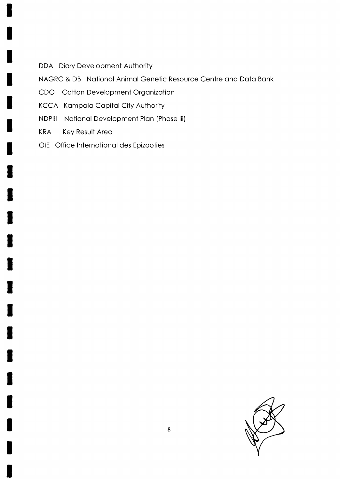- DDA Diary Development Authority
- NAGRC & DB National Animal Genetic Resource Centre and Data Bank
- CDO Cotton Development Organization
- KCCA Kampala Capital City Authority
- **NDPIII** National Development Plan (Phase iii)
- Key Result Area **KRA**
- OIE Office International des Epizooties

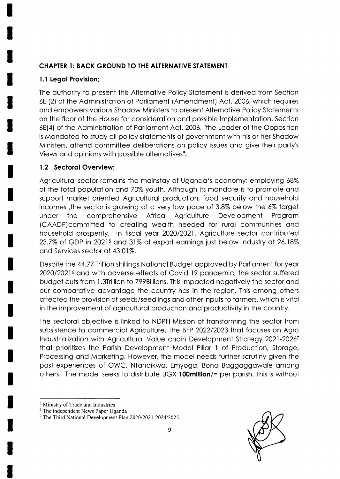# **CHAPTER 1: BACK GROUND TO THE ALTERNATIVE STATEMENT**

# 1.1 Legal Provision;

The authority to present this Alternative Policy Statement is derived from Section 6E (2) of the Administration of Parliament (Amendment) Act, 2006, which requires and empowers various Shadow Ministers to present Alternative Policy Statements on the floor of the House for consideration and possible Implementation. Section 6E(4) of the Administration of Parliament Act, 2006, "the Leader of the Opposition is Mandated to study all policy statements of government with his or her Shadow Ministers, attend committee deliberations on policy issues and give their party's Views and opinions with possible alternatives".

# 1.2 Sectoral Overview;

Agricultural sector remains the mainstay of Uganda's economy; employing 68% of the total population and 70% youth. Although Its mandate is to promote and support market oriented Agricultural production, food security and household incomes, the sector is growing at a very low pace of 3.8% below the 6% target comprehensive Africa under the Agriculture Development Program (CAADP)committed to creating wealth needed for rural communities and household prosperity. In fiscal year 2020/2021, Agriculture sector contributed 23.7% of GDP in 2021<sup>5</sup> and 31% of export earnings just below Industry at 26.18% and Services sector at 43.01%.

Despite the 44.77 Trillion shillings National Budget approved by Parliament for year 2020/2021<sup>6</sup> and with adverse effects of Covid 19 pandemic, the sector suffered budget cuts from 1.3Trillion to 799Billions. This impacted negatively the sector and our comparative advantage the country has in the region. This among others affected the provision of seeds/seedlings and other inputs to farmers, which is vital in the improvement of agricultural production and productivity in the country.

The sectoral objective is linked to NDPIII Mission of transforming the sector from subsistence to commercial Agriculture. The BFP 2022/2023 that focuses on Agro Industrialization with Agricultural Value chain Development Strategy 2021-20267 that prioritizes the Parish Development Model Pillar 1 of Production, Storage, Processing and Marketing. However, the model needs further scrutiny given the past experiences of OWC, Ntandikwa, Emyoga, Bona Baggaggawale among others. The model seeks to distribute UGX 100million/= per parish. This is without



<sup>&</sup>lt;sup>5</sup> Ministry of Trade and Industries

<sup>&</sup>lt;sup>6</sup> The independent News Paper Uganda

<sup>&</sup>lt;sup>7</sup> The Third National Development Plan 2020/2021-2024/2025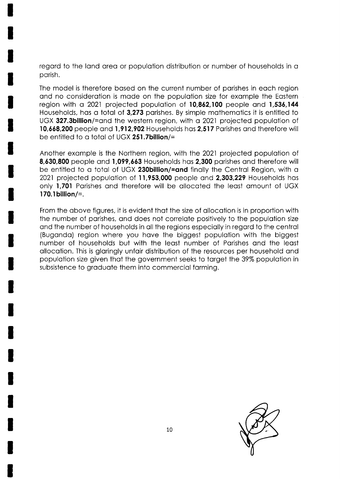regard to the land area or population distribution or number of households in a porish.

The model is therefore bosed on the current number of porishes in eoch region and no consideration is made on the population size for example the Eastern region with o 2021 projected populotion of 10,862,100 people ond 1,536,144 Households, hos o totol of 3,273 porishes. By simple mothemotics it is entitled to UGX 327.3billion/=and the western region, with a 2021 projected population of 10,668,200 people ond I ,912,902 Households hos 2,517 Porishes ond therefore will be entitled to a total of UGX 251.7billion/=

Another exomple is the Northern region, with the 2021 projected populotion of 8,630,800 people ond 1,099,663 Households hos 2,300 porishes ond therefore will be entitled to a total of UGX 230billion/=and finally the Central Region, with a 2021 projected population of 11,953,000 people and 2,303,229 Households has only 1,701 Parishes and therefore will be allocated the least amount of UGX 170.1billion/=.

From the obove figures, it is evident thot the size of ollocotion is in proportion with the number of parishes, and does not correlate positively to the population size ond the number of households in oll the regions especiolly in regord to the centrol (Bugondo) region where you hove the biggest populotion with the biggest number of households but with the leost number of Porishes ond the leost ollocotion. This is gloringly unfoir distribution of the resources per household ond populotion size given thot the government seeks to torget Ihe 39% populotion in subsistence to graduate them into commercial farming.

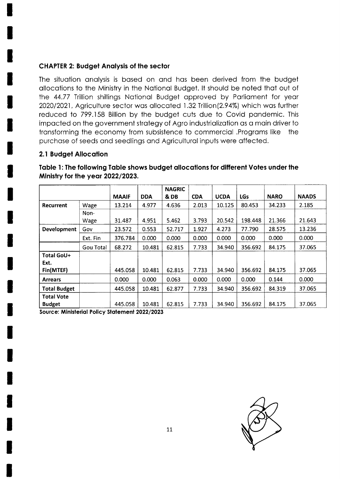## **CHAPTER 2: Budget Analysis of the sector**

The situation analysis is based on and has been derived from the budget allocations to the Ministry in the National Budget. It should be noted that out of the 44.77 Trillion shillings National Budget approved by Parliament for year 2020/2021, Agriculture sector was allocated 1.32 Trillion(2.94%) which was further reduced to 799.158 Billion by the budget cuts due to Covid pandemic. This impacted on the government strategy of Agro industrialization as a main driver to transforming the economy from subsistence to commercial .Programs like the purchase of seeds and seedlings and Agricultural inputs were affected.

# 2.1 Budget Allocation

Table 1: The following Table shows budget allocations for different Votes under the Ministry for the year 2022/2023.

|                     |           |              |            | <b>NAGRIC</b> |            |             |            |             |              |
|---------------------|-----------|--------------|------------|---------------|------------|-------------|------------|-------------|--------------|
|                     |           | <b>MAAIF</b> | <b>DDA</b> | & DB          | <b>CDA</b> | <b>UCDA</b> | <b>LGs</b> | <b>NARO</b> | <b>NAADS</b> |
| Recurrent           | Wage      | 13.214       | 4.977      | 4.636         | 2.013      | 10.125      | 80.453     | 34.233      | 2.185        |
|                     | Non-      |              |            |               |            |             |            |             |              |
|                     | Wage      | 31.487       | 4.951      | 5.462         | 3.793      | 20.542      | 198.448    | 21.366      | 21.643       |
| <b>Development</b>  | Gov       | 23.572       | 0.553      | 52.717        | 1.927      | 4.273       | 77.790     | 28.575      | 13.236       |
|                     | Ext. Fin  | 376.784      | 0.000      | 0.000         | 0.000      | 0.000       | 0.000      | 0.000       | 0.000        |
|                     | Gou Total | 68.272       | 10.481     | 62.815        | 7.733      | 34.940      | 356.692    | 84.175      | 37.065       |
| Total GoU+          |           |              |            |               |            |             |            |             |              |
| Ext.<br>Fin(MTEF)   |           | 445.058      | 10.481     | 62.815        | 7.733      | 34.940      | 356.692    | 84.175      | 37.065       |
| <b>Arrears</b>      |           | 0.000        | 0.000      | 0.063         | 0.000      | 0.000       | 0.000      | 0.144       | 0.000        |
| <b>Total Budget</b> |           | 445.058      | 10.481     | 62.877        | 7.733      | 34.940      | 356.692    | 84.319      | 37.065       |
| <b>Total Vote</b>   |           |              |            |               |            |             |            |             |              |
| <b>Budget</b>       |           | 445.058      | 10.481     | 62.815        | 7.733      | 34.940      | 356.692    | 84.175      | 37.065       |

Source: Ministerial Policy Statement 2022/2023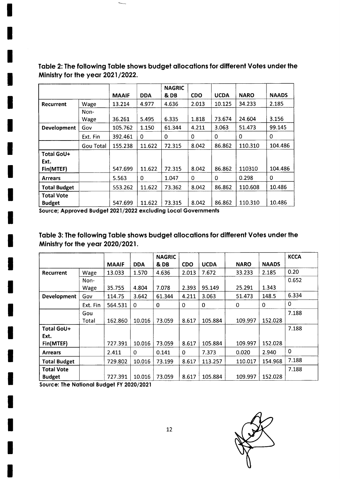|                     |           |              |            | <b>NAGRIC</b> |            |             |             |              |
|---------------------|-----------|--------------|------------|---------------|------------|-------------|-------------|--------------|
|                     |           | <b>MAAIF</b> | <b>DDA</b> | & DB          | <b>CDO</b> | <b>UCDA</b> | <b>NARO</b> | <b>NAADS</b> |
| <b>Recurrent</b>    | Wage      | 13.214       | 4.977      | 4.636         | 2.013      | 10.125      | 34.233      | 2.185        |
|                     | Non-      |              |            |               |            |             |             |              |
|                     | Wage      | 36.261       | 5.495      | 6.335         | 1.818      | 73.674      | 24.604      | 3.156        |
| <b>Development</b>  | Gov       | 105.762      | 1.150      | 61.344        | 4.211      | 3.063       | 51.473      | 99.145       |
|                     | Ext. Fin  | 392.461      | 0          | 0             | 0          | $\mathbf 0$ | 0           | 0            |
|                     | Gou Total | 155.238      | 11.622     | 72.315        | 8.042      | 86.862      | 110.310     | 104.486      |
| Total GoU+          |           |              |            |               |            |             |             |              |
| Ext.                |           |              |            |               |            |             |             |              |
| Fin(MTEF)           |           | 547.699      | 11.622     | 72.315        | 8.042      | 86.862      | 110310      | 104.486      |
| <b>Arrears</b>      |           | 5.563        | 0          | 1.047         | 0          | 0           | 0.298       | 0            |
| <b>Total Budget</b> |           | 553.262      | 11.622     | 73.362        | 8.042      | 86.862      | 110.608     | 10.486       |
| <b>Total Vote</b>   |           |              |            |               |            |             |             |              |
| <b>Budget</b>       |           | 547.699      | 11.622     | 73.315        | 8.042      | 86.862      | 110.310     | 10.486       |

Table 2: The following Table shows budget allocations for different Votes under the Ministry for the year 2021/2022.

Source; Approved Budget 2021/2022 excluding Local Governments

Table 3: The following Table shows budget allocations for different Votes under the Ministry for the year 2020/2021.

|                     |          |              |             | <b>NAGRIC</b> |            |             |             |              | <b>KCCA</b> |
|---------------------|----------|--------------|-------------|---------------|------------|-------------|-------------|--------------|-------------|
|                     |          | <b>MAAIF</b> | <b>DDA</b>  | & DB          | <b>CDO</b> | <b>UCDA</b> | <b>NARO</b> | <b>NAADS</b> |             |
| Recurrent           | Wage     | 13.033       | 1.570       | 4.636         | 2.013      | 7.672       | 33.233      | 2.185        | 0.20        |
|                     | Non-     |              |             |               |            |             |             |              | 0.652       |
|                     | Wage     | 35.755       | 4.804       | 7.078         | 2.393      | 95.149      | 25.291      | 1.343        |             |
| Development         | Gov      | 114.75       | 3.642       | 61.344        | 4.211      | 3.063       | 51.473      | 148.5        | 6.334       |
|                     | Ext. Fin | 564.531      | $\mathbf 0$ | 0             | 0          | 0           | 0           | 0            | 0           |
|                     | Gou      |              |             |               |            |             |             |              | 7.188       |
|                     | Total    | 162.860      | 10.016      | 73.059        | 8.617      | 105.884     | 109.997     | 152.028      |             |
| Total GoU+          |          |              |             |               |            |             |             |              | 7.188       |
| Ext.                |          |              |             |               |            |             |             |              |             |
| Fin(MTEF)           |          | 727.391      | 10.016      | 73.059        | 8.617      | 105.884     | 109.997     | 152.028      |             |
| <b>Arrears</b>      |          | 2.411        | $\Omega$    | 0.141         | $\Omega$   | 7.373       | 0.020       | 2.940        | 0           |
| <b>Total Budget</b> |          | 729.802      | 10.016      | 73.199        | 8.617      | 113.257     | 110.017     | 154.968      | 7.188       |
| Total Vote          |          |              |             |               |            |             |             |              | 7.188       |
| <b>Budget</b>       |          | 727.391      | 10.016      | 73.059        | 8.617      | 105.884     | 109.997     | 152.028      |             |

Source: The National Budget FY 2020/2021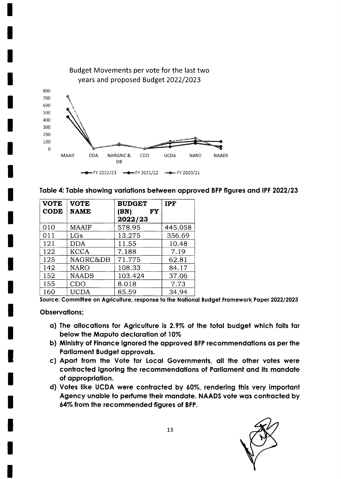

| <b>VOTE</b><br><b>CODE</b> | <b>VOTE</b><br><b>NAME</b> | <b>BUDGET</b><br>(BN)<br>FY<br>2022/23 | <b>IPF</b> |
|----------------------------|----------------------------|----------------------------------------|------------|
| 010                        | MAAIF                      | 578.95                                 | 445.058    |
| 011                        | LGs                        | 13.275                                 | 356.69     |
| 121                        | <b>DDA</b>                 | 11.55                                  | 10.48      |
| 122                        | <b>KCCA</b>                | 7.188                                  | 7.19       |
| 125                        | NAGRC&DB                   | 71.775                                 | 62.81      |
| 142                        | <b>NARO</b>                | 108.33                                 | 84.17      |
| 152                        | <b>NAADS</b>               | 103.424                                | 37.06      |
| 155                        | CDO                        | 8.018                                  | 7.73       |
| 160                        | <b>UCDA</b>                | 85.59                                  | 34.94      |

Source; Committee on Agriculture, response to the National Budget Framework Paper 2022/2023

#### **Observations;**

- a) The allocations for Agriculture is 2.9% of the total budget which falls far below the Maputo declaration of 10%
- b) Ministry of Finance ignored the approved BFP recommendations as per the Parliament Budget approvals.
- c) Apart from the Vote for Local Governments, all the other votes were contracted ignoring the recommendations of Parliament and its mandate of appropriation.
- d) Votes like UCDA were contracted by 60%, rendering this very important Agency unable to perfume their mandate. NAADS vote was contracted by 64% from the recommended figures of BFP.

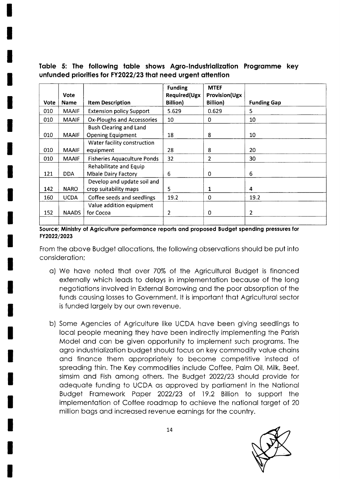# Table 5: The following table shows Agro-Industrialization Programme key unfunded priorities for FY2022/23 that need urgent attention

| Vote | <b>Vote</b><br><b>Name</b> | <b>Item Description</b>            | <b>Funding</b><br><b>Required(Ugx</b><br><b>Billion)</b> | <b>MTEF</b><br><b>Provision(Ugx</b><br><b>Billion</b> ) | <b>Funding Gap</b> |
|------|----------------------------|------------------------------------|----------------------------------------------------------|---------------------------------------------------------|--------------------|
| 010  | <b>MAAIF</b>               | <b>Extension policy Support</b>    | 5.629                                                    | 0.629                                                   | 5                  |
|      |                            |                                    |                                                          |                                                         |                    |
| 010  | <b>MAAIF</b>               | <b>Ox-Ploughs and Accessories</b>  | 10                                                       | 0                                                       | 10                 |
|      |                            | <b>Bush Clearing and Land</b>      |                                                          |                                                         |                    |
| 010  | <b>MAAIF</b>               | <b>Opening Equipment</b>           | 18                                                       | 8                                                       | 10                 |
|      |                            | Water facility construction        |                                                          |                                                         |                    |
| 010  | <b>MAAIF</b>               | equipment                          | 28                                                       | 8                                                       | 20                 |
| 010  | <b>MAAIF</b>               | <b>Fisheries Aquaculture Ponds</b> | 32                                                       | 2                                                       | 30                 |
|      |                            | Rehabilitate and Equip             |                                                          |                                                         |                    |
| 121  | <b>DDA</b>                 | <b>Mbale Dairy Factory</b>         | 6                                                        | 0                                                       | 6                  |
|      |                            | Develop and update soil and        |                                                          |                                                         |                    |
| 142  | <b>NARO</b>                | crop suitability maps              | 5                                                        | 1                                                       | 4                  |
| 160  | <b>UCDA</b>                | Coffee seeds and seedlings         | 19.2                                                     | 0                                                       | 19.2               |
|      |                            | Value addition equipment           |                                                          |                                                         |                    |
| 152  | <b>NAADS</b>               | for Cocoa                          | 2                                                        | 0                                                       | 2                  |
|      |                            |                                    |                                                          |                                                         |                    |

Source; Ministry of Agriculture performance reports and proposed Budget spending pressures for FY2022/2023

From the above Budget allocations, the following observations should be put into consideration:

- a) We have noted that over 70% of the Agricultural Budget is financed externally which leads to delays in implementation because of the long negotiations involved in External Borrowing and the poor absorption of the funds causing losses to Government. It is important that Agricultural sector is funded largely by our own revenue.
- b) Some Agencies of Agriculture like UCDA have been giving seedlings to local people meaning they have been indirectly implementing the Parish Model and can be given opportunity to implement such programs. The agro industrialization budget should focus on key commodity value chains and finance them appropriately to become competitive instead of spreading thin. The Key commodities include Coffee, Palm Oil, Milk, Beef, simsim and Fish among others. The Budget 2022/23 should provide for adequate funding to UCDA as approved by parliament in the National Budget Framework Paper 2022/23 of 19.2 Billion to support the implementation of Coffee roadmap to achieve the national target of 20 million bags and increased revenue earnings for the country.

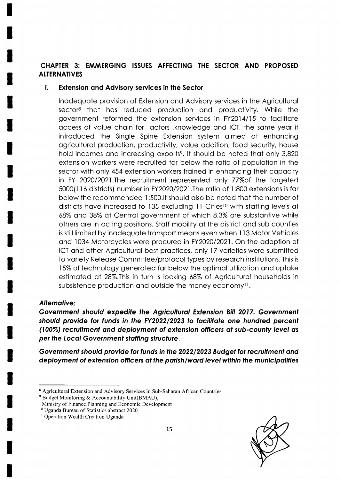# CHAPTER 3: EMMERGING ISSUES AFFECTING THE SECTOR AND PROPOSED **ALTERNATIVES**

#### i. **Extension and Advisory services in the Sector**

Inadequate provision of Extension and Advisory services in the Agricultural sector<sup>8</sup> that has reduced production and productivity. While the government reformed the extension services in FY2014/15 to facilitate access of value chain for actors , knowledge and ICT, the same year it introduced the Single Spine Extension system aimed at enhancing agricultural production, productivity, value addition, food security, house hold incomes and increasing exports<sup>9</sup>. It should be noted that only 3,820 extension workers were recruited far below the ratio of population in the sector with only 454 extension workers trained in enhancing their capacity in FY 2020/2021. The recruitment represented only 77% of the targeted 5000(116 districts) number in FY2020/2021. The ratio of 1:800 extensions is far below the recommended 1:500.It should also be noted that the number of districts have increased to 135 excluding 11 Cities<sup>10</sup> with staffing levels at 68% and 38% at Central government of which 8.3% are substantive while others are in acting positions. Staff mobility at the district and sub counties is still limited by inadequate transport means even when 113 Motor Vehicles and 1034 Motorcycles were procured in FY2020/2021. On the adoption of ICT and other Agricultural best practices, only 17 varieties were submitted to variety Release Committee/protocol types by research institutions. This is 15% of technology generated far below the optimal utilization and uptake estimated at 28%. This in turn is locking 68% of Agricultural households in subsistence production and outside the money economy<sup>11</sup>.

#### **Alternative:**

Government should expedite the Agricultural Extension Bill 2017. Government should provide for funds in the FY2022/2023 to facilitate one hundred percent (100%) recruitment and deployment of extension officers at sub-county level as per the Local Government staffing structure.

Government should provide for funds in the 2022/2023 Budget for recruitment and deployment of extension officers at the parish/ward level within the municipalities



<sup>&</sup>lt;sup>8</sup> Agricultural Extension and Advisory Services in Sub-Saharan African Countries

<sup>&</sup>lt;sup>9</sup> Budget Monitoring & Accountability Unit(BMAU),

Ministry of Finance Planning and Economic Development

<sup>&</sup>lt;sup>10</sup> Uganda Bureau of Statistics abstract 2020

<sup>&</sup>lt;sup>11</sup> Operation Wealth Creation-Uganda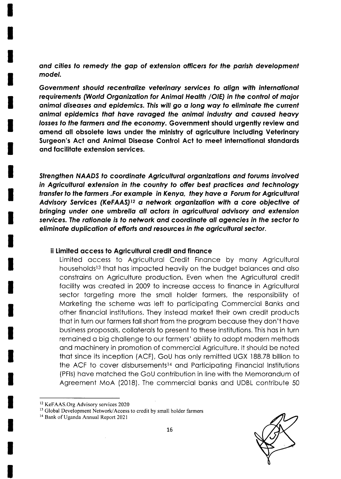and cities to remedy the gap of extension officers for the parish development model.

Government should recentralize veterinary services to align with international requirements (World Organization for Animal Health /OIE) in the control of major animal diseases and epidemics. This will go a long way to eliminate the current animal epidemics that have ravaged the animal industry and caused heavy losses to the farmers and the economy. Government should urgently review and amend all obsolete laws under the ministry of agriculture including Veterinary Surgeon's Act and Animal Disease Control Act to meet international standards and facilitate extension services.

Strengthen NAADS to coordinate Agricultural organizations and forums involved in Agricultural extension in the country to offer best practices and technology transfer to the farmers .For example in Kenya, they have a Forum for Agricultural Advisory Services (KeFAAS)<sup>12</sup> a network organization with a core objective of bringing under one umbrella all actors in agricultural advisory and extension services. The rationale is to network and coordinate all agencies in the sector to eliminate duplication of efforts and resources in the agricultural sector.

#### ii Limited access to Agricultural credit and finance

Limited access to Agricultural Credit Finance by many Agricultural households<sup>13</sup> that has impacted heavily on the budget balances and also constrains on Agriculture production. Even when the Agricultural credit facility was created in 2009 to increase access to finance in Agricultural sector targeting more the small holder farmers, the responsibility of Marketing the scheme was left to participating Commercial Banks and other financial institutions. They instead market their own credit products that in turn our farmers fall short from the program because they don't have business proposals, collaterals to present to these institutions. This has in turn remained a big challenge to our farmers' ability to adopt modern methods and machinery in promotion of commercial Agriculture. It should be noted that since its inception (ACF), GoU has only remitted UGX 188.78 billion to the ACF to cover disbursements<sup>14</sup> and Participating Financial Institutions (PFIs) have matched the GoU contribution in line with the Memorandum of Agreement MoA (2018). The commercial banks and UDBL contribute 50



<sup>&</sup>lt;sup>12</sup> KeFAAS.Org Advisory services 2020

<sup>&</sup>lt;sup>13</sup> Global Development Network/Access to credit by small holder farmers

<sup>&</sup>lt;sup>14</sup> Bank of Uganda Annual Report 2021